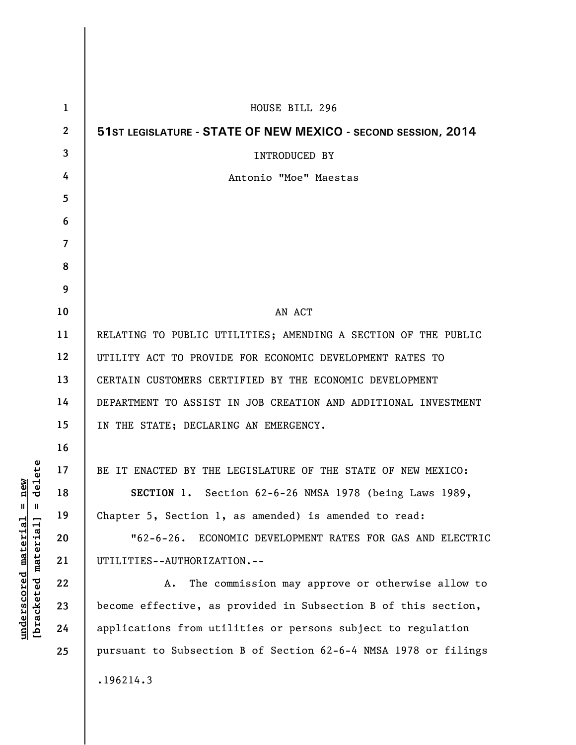| 1              | HOUSE BILL 296                                                  |
|----------------|-----------------------------------------------------------------|
| $\mathbf{2}$   | 51ST LEGISLATURE - STATE OF NEW MEXICO - SECOND SESSION, 2014   |
| $\mathbf{3}$   | INTRODUCED BY                                                   |
| 4              | Antonio "Moe" Maestas                                           |
| 5              |                                                                 |
| 6              |                                                                 |
| $\overline{7}$ |                                                                 |
| 8              |                                                                 |
| 9              |                                                                 |
| 10             | AN ACT                                                          |
| 11             | RELATING TO PUBLIC UTILITIES; AMENDING A SECTION OF THE PUBLIC  |
| 12             | UTILITY ACT TO PROVIDE FOR ECONOMIC DEVELOPMENT RATES TO        |
| 13             | CERTAIN CUSTOMERS CERTIFIED BY THE ECONOMIC DEVELOPMENT         |
| 14             | DEPARTMENT TO ASSIST IN JOB CREATION AND ADDITIONAL INVESTMENT  |
| 15             | IN THE STATE; DECLARING AN EMERGENCY.                           |
| 16             |                                                                 |
| 17             | BE IT ENACTED BY THE LEGISLATURE OF THE STATE OF NEW MEXICO:    |
| 18             | SECTION 1. Section 62-6-26 NMSA 1978 (being Laws 1989,          |
| 19             | Chapter 5, Section 1, as amended) is amended to read:           |
| 20             | "62-6-26. ECONOMIC DEVELOPMENT RATES FOR GAS AND ELECTRIC       |
| 21             | UTILITIES--AUTHORIZATION.--                                     |
| 22             | The commission may approve or otherwise allow to<br>Α.          |
| 23             | become effective, as provided in Subsection B of this section,  |
| 24             | applications from utilities or persons subject to regulation    |
| 25             | pursuant to Subsection B of Section 62-6-4 NMSA 1978 or filings |
|                | .196214.3                                                       |

**underscored material = new [bracketed material] = delete**

 $[**bracket eted metert et**] = **del et e**$  $underscored material = new$ 

 $\overline{\phantom{a}}$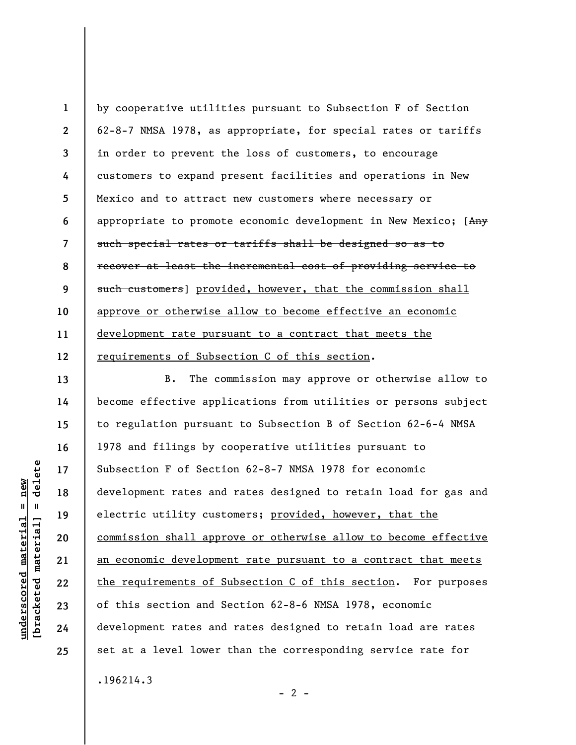**1 2 3 4 5 6 7 8 9 10 11 12**  by cooperative utilities pursuant to Subsection F of Section 62-8-7 NMSA 1978, as appropriate, for special rates or tariffs in order to prevent the loss of customers, to encourage customers to expand present facilities and operations in New Mexico and to attract new customers where necessary or appropriate to promote economic development in New Mexico; [Any such special rates or tariffs shall be designed so as to recover at least the incremental cost of providing service to such customers] provided, however, that the commission shall approve or otherwise allow to become effective an economic development rate pursuant to a contract that meets the requirements of Subsection C of this section.

B. The commission may approve or otherwise allow to become effective applications from utilities or persons subject to regulation pursuant to Subsection B of Section 62-6-4 NMSA 1978 and filings by cooperative utilities pursuant to Subsection F of Section 62-8-7 NMSA 1978 for economic development rates and rates designed to retain load for gas and electric utility customers; provided, however, that the commission shall approve or otherwise allow to become effective an economic development rate pursuant to a contract that meets the requirements of Subsection C of this section. For purposes of this section and Section 62-8-6 NMSA 1978, economic development rates and rates designed to retain load are rates set at a level lower than the corresponding service rate for .196214.3

 $- 2 -$ 

delete **[bracketed material] = delete**  $underscored material = new$ **underscored material = new**  $\mathbf{I}$ bracketed material

**13** 

**14** 

**15** 

**16** 

**17** 

**18** 

**19** 

**20** 

**21** 

**22** 

**23** 

**24** 

**25**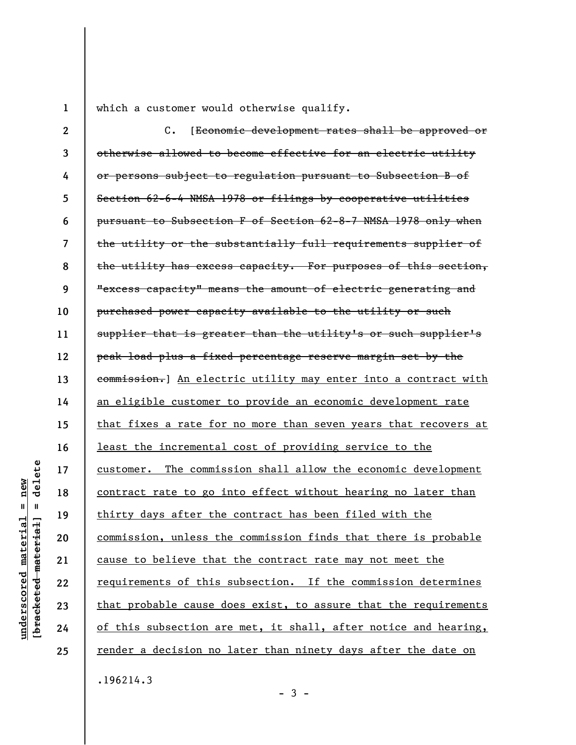**1** 

which a customer would otherwise qualify.

**2 3 4 5 6 7 8 9 10 11 12 13 14 15 16 17 18 19 20 21 22 23 24 25**  C. [Economic development rates shall be approved or otherwise allowed to become effective for an electric utility or persons subject to regulation pursuant to Subsection B of Section 62-6-4 NMSA 1978 or filings by cooperative utilities pursuant to Subsection F of Section 62-8-7 NMSA 1978 only when the utility or the substantially full requirements supplier of the utility has excess capacity. For purposes of this section, "excess capacity" means the amount of electric generating and purchased power capacity available to the utility or such supplier that is greater than the utility's or such supplier's peak load plus a fixed percentage reserve margin set by the commission.] An electric utility may enter into a contract with an eligible customer to provide an economic development rate that fixes a rate for no more than seven years that recovers at least the incremental cost of providing service to the customer. The commission shall allow the economic development contract rate to go into effect without hearing no later than thirty days after the contract has been filed with the commission, unless the commission finds that there is probable cause to believe that the contract rate may not meet the requirements of this subsection. If the commission determines that probable cause does exist, to assure that the requirements of this subsection are met, it shall, after notice and hearing, render a decision no later than ninety days after the date on

delete **[bracketed material] = delete**  $anderscored material = new$ **underscored material = new**  $\mathbf{I}$ bracketed material

.196214.3

 $-3 -$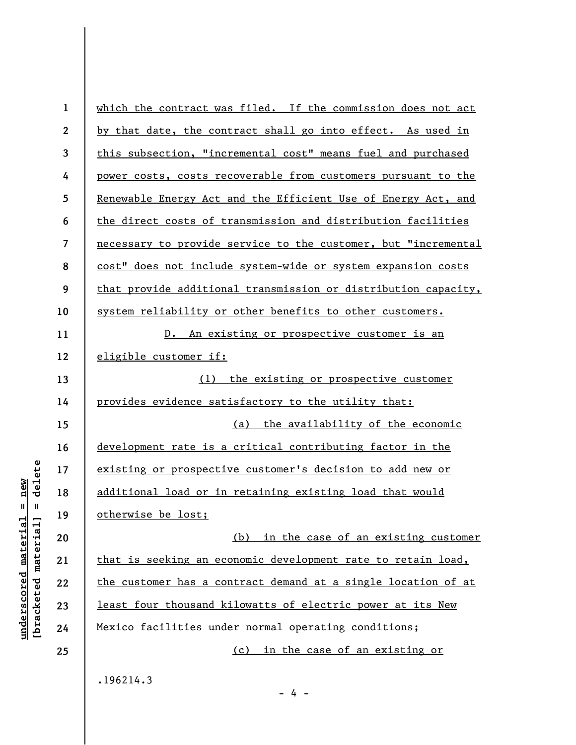| $\mathbf{1}$            | which the contract was filed. If the commission does not act   |
|-------------------------|----------------------------------------------------------------|
| $\boldsymbol{2}$        | by that date, the contract shall go into effect. As used in    |
| $\mathbf{3}$            | this subsection, "incremental cost" means fuel and purchased   |
| 4                       | power costs, costs recoverable from customers pursuant to the  |
| 5                       | Renewable Energy Act and the Efficient Use of Energy Act, and  |
| 6                       | the direct costs of transmission and distribution facilities   |
| $\overline{\mathbf{z}}$ | necessary to provide service to the customer, but "incremental |
| 8                       | cost" does not include system-wide or system expansion costs   |
| 9                       | that provide additional transmission or distribution capacity, |
| 10                      | system reliability or other benefits to other customers.       |
| 11                      | An existing or prospective customer is an<br>D.                |
| 12                      | eligible customer if:                                          |
| 13                      | (1)<br>the existing or prospective customer                    |
| 14                      | provides evidence satisfactory to the utility that:            |
| 15                      | (a) the availability of the economic                           |
| 16                      | development rate is a critical contributing factor in the      |
| 17                      | existing or prospective customer's decision to add new or      |
| 18                      | additional load or in retaining existing load that would       |
| 19                      | otherwise be lost;                                             |
| 20                      | (b) in the case of an existing customer                        |
| 21                      | that is seeking an economic development rate to retain load,   |
| 22                      | the customer has a contract demand at a single location of at  |
| 23                      | least four thousand kilowatts of electric power at its New     |
| 24                      | Mexico facilities under normal operating conditions;           |
| 25                      | (c) in the case of an existing or                              |
|                         |                                                                |

.196214.3

**underscored material = new [bracketed material] = delete**

 $[**bracket**et~~eted matcherial~~] = **delete**$  $underscored material = new$ 

 $- 4 -$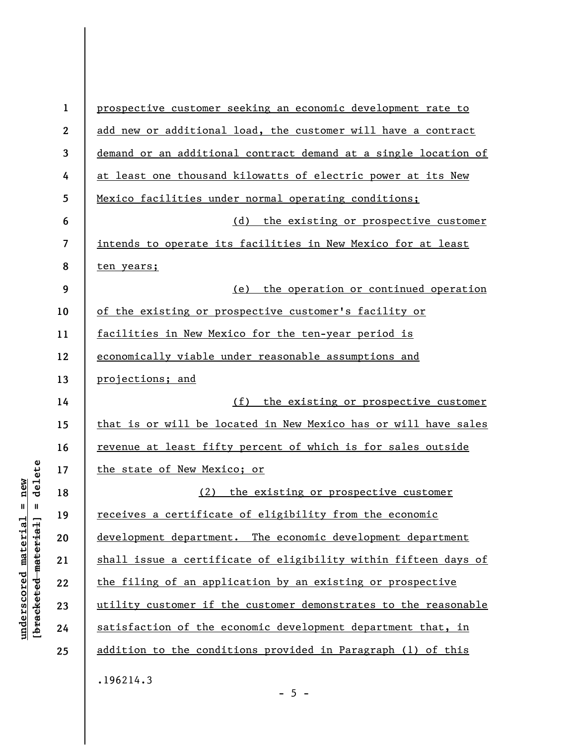| $\mathbf{1}$ | prospective customer seeking an economic development rate to    |
|--------------|-----------------------------------------------------------------|
| $\mathbf{2}$ | add new or additional load, the customer will have a contract   |
| 3            | demand or an additional contract demand at a single location of |
| 4            | at least one thousand kilowatts of electric power at its New    |
| 5            | Mexico facilities under normal operating conditions;            |
| 6            | (d) the existing or prospective customer                        |
| 7            | intends to operate its facilities in New Mexico for at least    |
| 8            | ten years;                                                      |
| 9            | (e) the operation or continued operation                        |
| 10           | of the existing or prospective customer's facility or           |
| 11           | facilities in New Mexico for the ten-year period is             |
| 12           | economically viable under reasonable assumptions and            |
| 13           | projections; and                                                |
| 14           | (f) the existing or prospective customer                        |
| 15           | that is or will be located in New Mexico has or will have sales |
| 16           | revenue at least fifty percent of which is for sales outside    |
| 17           | the state of New Mexico; or                                     |
| 18           | the existing or prospective customer<br>(2)                     |
| 19           | receives a certificate of eligibility from the economic         |
| 20           | development department. The economic development department     |
| 21           | shall issue a certificate of eligibility within fifteen days of |
| 22           | the filing of an application by an existing or prospective      |
| 23           | utility customer if the customer demonstrates to the reasonable |
| 24           |                                                                 |
|              | satisfaction of the economic development department that, in    |
| 25           | addition to the conditions provided in Paragraph (1) of this    |

 $- 5 -$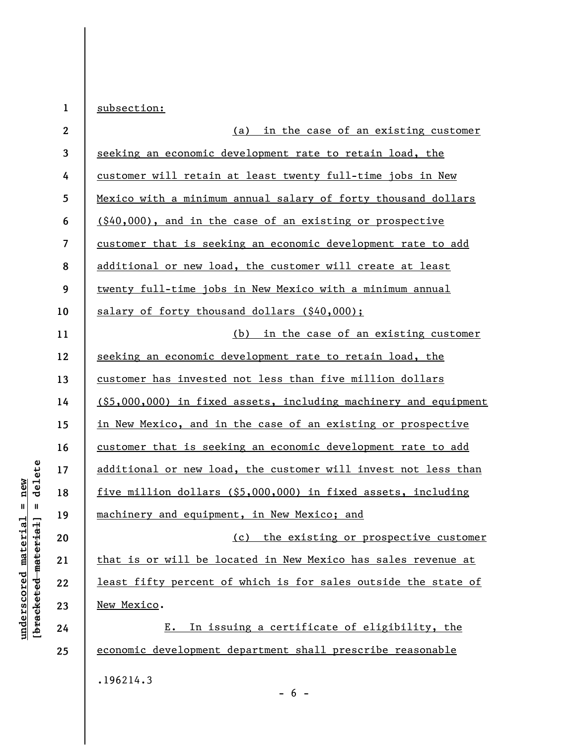| $\mathbf 1$  | subsection:                                                         |
|--------------|---------------------------------------------------------------------|
| $\mathbf{2}$ | (a) in the case of an existing customer                             |
| 3            | seeking an economic development rate to retain load, the            |
| 4            | customer will retain at least twenty full-time jobs in New          |
| 5            | Mexico with a minimum annual salary of forty thousand dollars       |
| 6            | (\$40,000), and in the case of an existing or prospective           |
| 7            | customer that is seeking an economic development rate to add        |
| 8            | additional or new load, the customer will create at least           |
| 9            | twenty full-time jobs in New Mexico with a minimum annual           |
| 10           | salary of forty thousand dollars (\$40,000);                        |
| 11           | (b) in the case of an existing customer                             |
| 12           | seeking an economic development rate to retain load, the            |
| 13           | customer has invested not less than five million dollars            |
| 14           | $($ \$5,000,000) in fixed assets, including machinery and equipment |
| 15           | in New Mexico, and in the case of an existing or prospective        |
| 16           | customer that is seeking an economic development rate to add        |
| 17           | additional or new load, the customer will invest not less than      |
| 18           | five million dollars (\$5,000,000) in fixed assets, including       |
| 19           | machinery and equipment, in New Mexico; and                         |
| 20           | (c) the existing or prospective customer                            |
| 21           | that is or will be located in New Mexico has sales revenue at       |
| 22           | least fifty percent of which is for sales outside the state of      |
| 23           | New Mexico.                                                         |
| 24           | In issuing a certificate of eligibility, the<br>E.                  |
| 25           | economic development department shall prescribe reasonable          |
|              | .196214.3                                                           |

- 6 -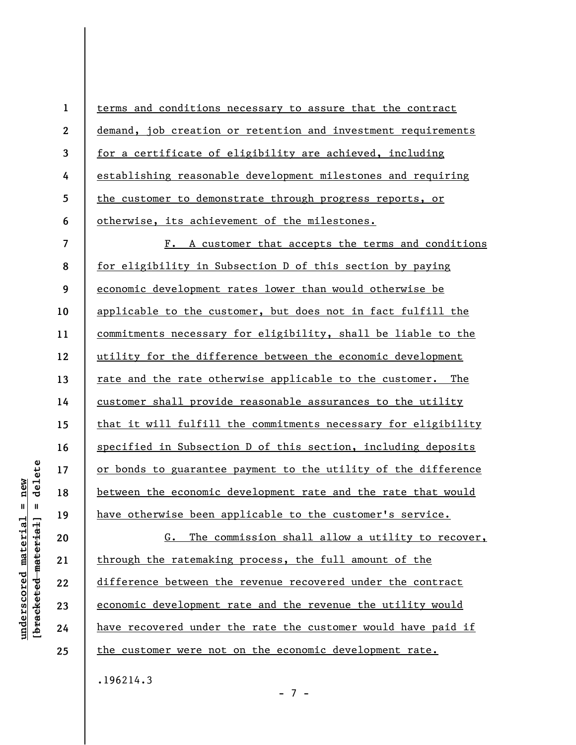| $\mathbf{1}$            | terms and conditions necessary to assure that the contract     |
|-------------------------|----------------------------------------------------------------|
| $\boldsymbol{2}$        | demand, job creation or retention and investment requirements  |
| $\overline{3}$          | for a certificate of eligibility are achieved, including       |
| 4                       | establishing reasonable development milestones and requiring   |
| 5                       | the customer to demonstrate through progress reports, or       |
| 6                       | otherwise, its achievement of the milestones.                  |
| $\overline{\mathbf{z}}$ | F. A customer that accepts the terms and conditions            |
| 8                       | for eligibility in Subsection D of this section by paying      |
| 9                       | economic development rates lower than would otherwise be       |
| 10                      | applicable to the customer, but does not in fact fulfill the   |
| 11                      | commitments necessary for eligibility, shall be liable to the  |
| 12                      | utility for the difference between the economic development    |
| 13                      | rate and the rate otherwise applicable to the customer. The    |
| 14                      | customer shall provide reasonable assurances to the utility    |
| 15                      | that it will fulfill the commitments necessary for eligibility |
| 16                      | specified in Subsection D of this section, including deposits  |
| 17                      | or bonds to guarantee payment to the utility of the difference |
| 18                      | between the economic development rate and the rate that would  |
| 19                      | have otherwise been applicable to the customer's service.      |
| 20                      | The commission shall allow a utility to recover,<br>G.         |
| 21                      | through the ratemaking process, the full amount of the         |
| 22                      | difference between the revenue recovered under the contract    |
| 23                      | economic development rate and the revenue the utility would    |
| 24                      | have recovered under the rate the customer would have paid if  |
| 25                      | the customer were not on the economic development rate.        |
|                         | .196214.3                                                      |

 $[**bracket**et~~eted matcherial~~] = **delete**$ **[bracketed material] = delete**  $underscored material = new$ **underscored material = new**

- 7 -